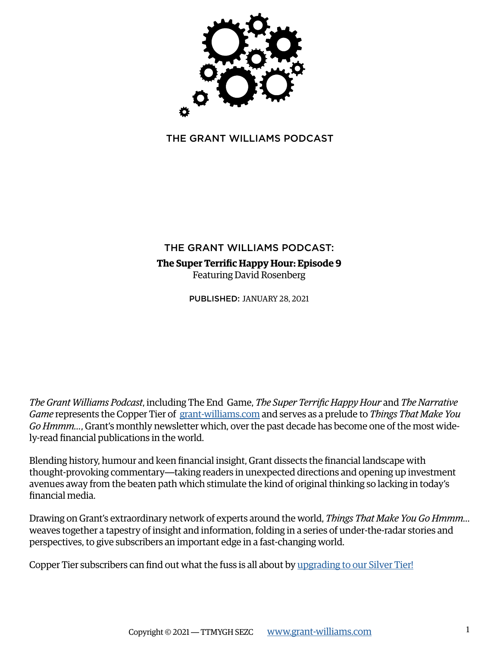

THE GRANT WILLIAMS PODCAST

# THE GRANT WILLIAMS PODCAS[T:](https://www.grant-williams.com/gw_podcast/the-end-game-ep-14-paul-singer/) **The Super Terrific Happy Hour: Episode 9** Featuring David Rosenberg

PUBLISHED: JANUARY 28, 2021

*The Grant Williams Podcast*, including The End Game, *The Super Terrific Happy Hour* and *The Narrative Game* represents the Copper Tier of [grant-williams.com](https://www.grant-williams.com) and serves as a prelude to *Things That Make You Go Hmmm…*, Grant's monthly newsletter which, over the past decade has become one of the most widely-read financial publications in the world.

Blending history, humour and keen financial insight, Grant dissects the financial landscape with thought-provoking commentary—taking readers in unexpected directions and opening up investment avenues away from the beaten path which stimulate the kind of original thinking so lacking in today's financial media.

Drawing on Grant's extraordinary network of experts around the world, *Things That Make You Go Hmmm…* weaves together a tapestry of insight and information, folding in a series of under-the-radar stories and perspectives, to give subscribers an important edge in a fast-changing world.

Copper Tier subscribers can find out what the fuss is all about by [upgrading to our Silver Tier!](https://www.grant-williams.com/subscribe/)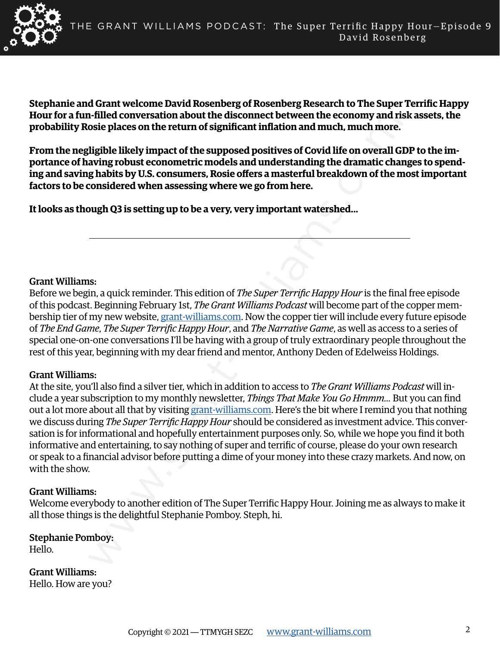

**Stephanie and Grant welcome David Rosenberg of Rosenberg Research to The Super Terrific Happy Hour for a fun-filled conversation about the disconnect between the economy and risk assets, the probability Rosie places on the return of significant inflation and much, much more.**

**From the negligible likely impact of the supposed positives of Covid life on overall GDP to the importance of having robust econometric models and understanding the dramatic changes to spending and saving habits by U.S. consumers, Rosie offers a masterful breakdown of the most important factors to be considered when assessing where we go from here.**

**It looks as though Q3 is setting up to be a very, very important watershed...**

#### Grant Williams:

Before we begin, a quick reminder. This edition of *The Super Terrific Happy Hour* is the final free episode of this podcast. Beginning February 1st, *The Grant Williams Podcast* will become part of the copper membership tier of my new website, grant-williams.com. Now the copper tier will include every future episode of *The End Game*, *The Super Terrific Happy Hour*, and *The Narrative Game*, as well as access to a series of special one-on-one conversations I'll be having with a group of truly extraordinary people throughout the rest of this year, beginning with my dear friend and mentor, Anthony Deden of Edelweiss Holdings.

# Grant Williams:

**1. Filled conversation about the disconnect between the economy [an](https://www.grant-williams.com)d rise<br>digital clare so the return of significant inflation and much, much more.<br>Highel likely impact of the supposed positives of Covid life on overal Gal** At the site, you'll also find a silver tier, which in addition to access to *The Grant Williams Podcast* will include a year subscription to my monthly newsletter, *Things That Make You Go Hmmm...* But you can find out a lot more about all that by visiting grant-williams.com. Here's the bit where I remind you that nothing we discuss during *The Super Terrific Happy Hour* should be considered as investment advice. This conversation is for informational and hopefully entertainment purposes only. So, while we hope you find it both informative and entertaining, to say nothing of super and terrific of course, please do your own research or speak to a financial advisor before putting a dime of your money into these crazy markets. And now, on with the show.

#### Grant Williams:

Welcome everybody to another edition of The Super Terrific Happy Hour. Joining me as always to make it all those things is the delightful Stephanie Pomboy. Steph, hi.

Stephanie Pomboy: Hello.

Grant Williams: Hello. How are you?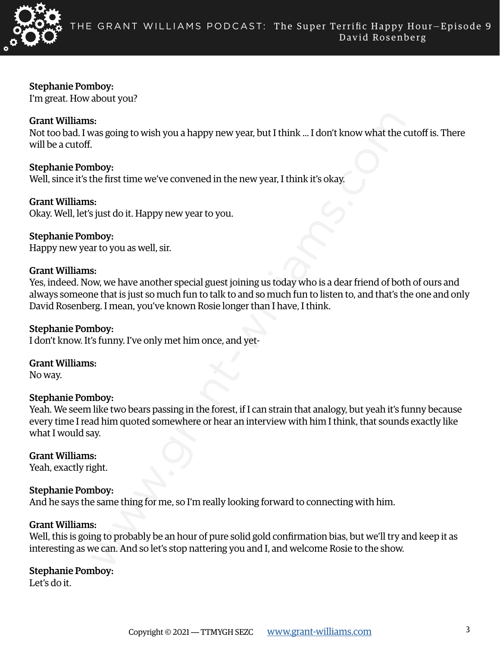

Stephanie Pomboy:

I'm great. How about you?

# Grant Williams:

Not too bad. I was going to wish you a happy new year, but I think ... I don't know what the cutoff is. There will be a cutoff.

Stephanie Pomboy: Well, since it's the first time we've convened in the new year, I think it's okay.

Grant Williams:

Okay. Well, let's just do it. Happy new year to you.

# Stephanie Pomboy:

Happy new year to you as well, sir.

# Grant Williams:

Yes, indeed. Now, we have another special guest joining us today who is a dear friend of both of ours and always someone that is just so much fun to talk to and so much fun to listen to, and that's the one and only David Rosenberg. I mean, you've known Rosie longer than I have, I think.

### Stephanie Pomboy:

I don't know. It's funny. I've only met him once, and yet-

# Grant Williams:

No way.

# Stephanie Pomboy:

se.<br>
Some going to wish you a happy new year, but I think ... I don't know what the defined the characteristic metric we've convened in the new year, I think it's okay.<br>
Somether first time we've convened in the new year, Yeah. We seem like two bears passing in the forest, if I can strain that analogy, but yeah it's funny because every time I read him quoted somewhere or hear an interview with him I think, that sounds exactly like what I would say.

# Grant Williams:

Yeah, exactly right.

# Stephanie Pomboy:

And he says the same thing for me, so I'm really looking forward to connecting with him.

#### Grant Williams:

Well, this is going to probably be an hour of pure solid gold confirmation bias, but we'll try and keep it as interesting as we can. And so let's stop nattering you and I, and welcome Rosie to the show.

# Stephanie Pomboy:

Let's do it.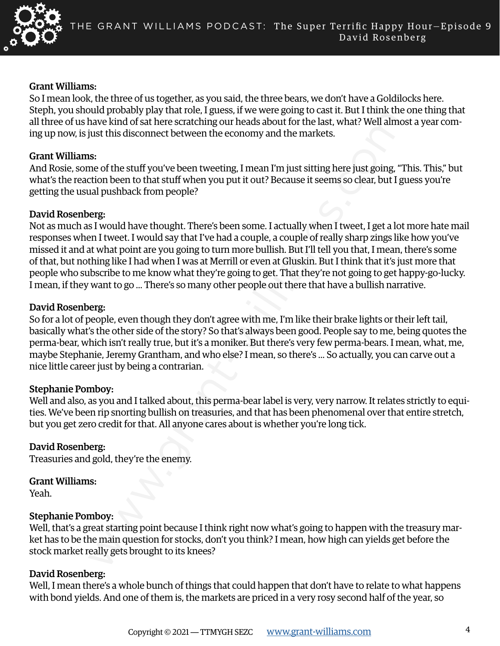

#### Grant Williams:

So I mean look, the three of us together, as you said, the three bears, we don't have a Goldilocks here. Steph, you should probably play that role, I guess, if we were going to cast it. But I think the one thing that all three of us have kind of sat here scratching our heads about for the last, what? Well almost a year coming up now, is just this disconnect between the economy and the markets.

#### Grant Williams:

And Rosie, some of the stuff you've been tweeting, I mean I'm just sitting here just going, "This. This," but what's the reaction been to that stuff when you put it out? Because it seems so clear, but I guess you're getting the usual pushback from people?

#### David Rosenberg:

onco the studies and the studies and the studies and the the main current of the basis with the head about for the last, what? Well almost that of state precisions the economy and the markets.<br>Since the stuff you've been t Not as much as I would have thought. There's been some. I actually when I tweet, I get a lot more hate mail responses when I tweet. I would say that I've had a couple, a couple of really sharp zings like how you've missed it and at what point are you going to turn more bullish. But I'll tell you that, I mean, there's some of that, but nothing like I had when I was at Merrill or even at Gluskin. But I think that it's just more that people who subscribe to me know what they're going to get. That they're not going to get happy-go-lucky. I mean, if they want to go ... There's so many other people out there that have a bullish narrative.

#### David Rosenberg:

So for a lot of people, even though they don't agree with me, I'm like their brake lights or their left tail, basically what's the other side of the story? So that's always been good. People say to me, being quotes the perma-bear, which isn't really true, but it's a moniker. But there's very few perma-bears. I mean, what, me, maybe Stephanie, Jeremy Grantham, and who else? I mean, so there's ... So actually, you can carve out a nice little career just by being a contrarian.

#### Stephanie Pomboy:

Well and also, as you and I talked about, this perma-bear label is very, very narrow. It relates strictly to equities. We've been rip snorting bullish on treasuries, and that has been phenomenal over that entire stretch, but you get zero credit for that. All anyone cares about is whether you're long tick.

#### David Rosenberg:

Treasuries and gold, they're the enemy.

#### Grant Williams:

Yeah.

#### Stephanie Pomboy:

Well, that's a great starting point because I think right now what's going to happen with the treasury market has to be the main question for stocks, don't you think? I mean, how high can yields get before the stock market really gets brought to its knees?

#### David Rosenberg:

Well, I mean there's a whole bunch of things that could happen that don't have to relate to what happens with bond yields. And one of them is, the markets are priced in a very rosy second half of the year, so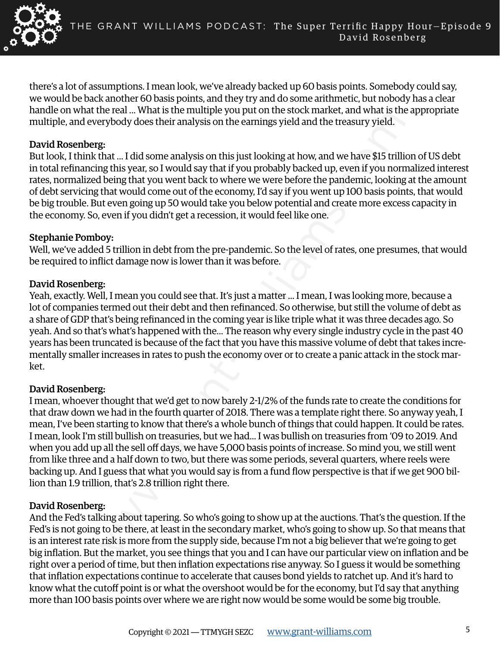

there's a lot of assumptions. I mean look, we've already backed up 60 basis points. Somebody could say, we would be back another 60 basis points, and they try and do some arithmetic, but nobody has a clear handle on what the real ... What is the multiple you put on the stock market, and what is the appropriate multiple, and everybody does their analysis on the earnings yield and the treasury yield.

### David Rosenberg:

But look, I think that ... I did some analysis on this just looking at how, and we have \$15 trillion of US debt in total refinancing this year, so I would say that if you probably backed up, even if you normalized interest rates, normalized being that you went back to where we were before the pandemic, looking at the amount of debt servicing that would come out of the economy, I'd say if you went up 100 basis points, that would be big trouble. But even going up 50 would take you below potential and create more excess capacity in the economy. So, even if you didn't get a recession, it would feel like one.

#### Stephanie Pomboy:

Well, we've added 5 trillion in debt from the pre-pandemic. So the level of rates, one presumes, that would be required to inflict damage now is lower than it was before.

#### David Rosenberg:

Yeah, exactly. Well, I mean you could see that. It's just a matter ... I mean, I was looking more, because a lot of companies termed out their debt and then refinanced. So otherwise, but still the volume of debt as a share of GDP that's being refinanced in the coming year is like triple what it was three decades ago. So yeah. And so that's what's happened with the... The reason why every single industry cycle in the past 40 years has been truncated is because of the fact that you have this massive volume of debt that takes incrementally smaller increases in rates to push the economy over or to create a panic attack in the stock market.

# David Rosenberg:

the reat... What so the manufage you put out me socks matake, and what sure<br>twerybody does their analysis on this just looking at how, and we have SIS trilling<br>the tan... Idd some analysis on this just looking at how, and I mean, whoever thought that we'd get to now barely 2-1/2% of the funds rate to create the conditions for that draw down we had in the fourth quarter of 2018. There was a template right there. So anyway yeah, I mean, I've been starting to know that there's a whole bunch of things that could happen. It could be rates. I mean, look I'm still bullish on treasuries, but we had... I was bullish on treasuries from '09 to 2019. And when you add up all the sell off days, we have 5,000 basis points of increase. So mind you, we still went from like three and a half down to two, but there was some periods, several quarters, where reels were backing up. And I guess that what you would say is from a fund flow perspective is that if we get 900 billion than 1.9 trillion, that's 2.8 trillion right there.

# David Rosenberg:

And the Fed's talking about tapering. So who's going to show up at the auctions. That's the question. If the Fed's is not going to be there, at least in the secondary market, who's going to show up. So that means that is an interest rate risk is more from the supply side, because I'm not a big believer that we're going to get big inflation. But the market, you see things that you and I can have our particular view on inflation and be right over a period of time, but then inflation expectations rise anyway. So I guess it would be something that inflation expectations continue to accelerate that causes bond yields to ratchet up. And it's hard to know what the cutoff point is or what the overshoot would be for the economy, but I'd say that anything more than 100 basis points over where we are right now would be some would be some big trouble.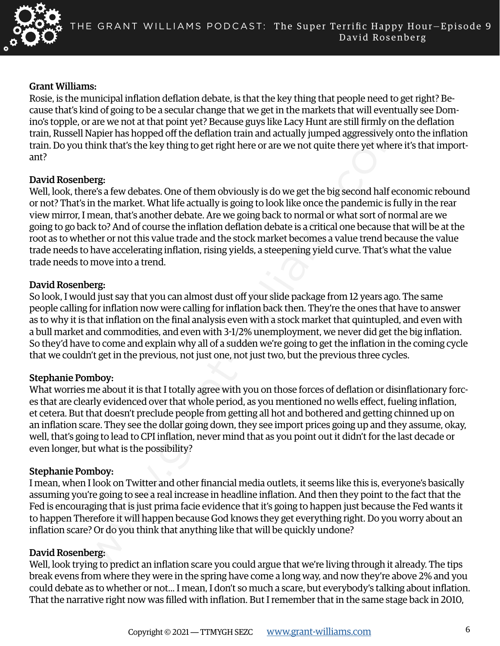

#### Grant Williams:

Rosie, is the municipal inflation deflation debate, is that the key thing that people need to get right? Because that's kind of going to be a secular change that we get in the markets that will eventually see Domino's topple, or are we not at that point yet? Because guys like Lacy Hunt are still firmly on the deflation train, Russell Napier has hopped off the deflation train and actually jumped aggressively onto the inflation train. Do you think that's the key thing to get right here or are we not quite there yet where it's that important?

#### David Rosenberg:

and or going to be a secular dinagre inat we get unter markets unit with the trefits and the centure in the transmit or going to be a secular than the transmitted that the property and the depth of the definition train and Well, look, there's a few debates. One of them obviously is do we get the big second half economic rebound or not? That's in the market. What life actually is going to look like once the pandemic is fully in the rear view mirror, I mean, that's another debate. Are we going back to normal or what sort of normal are we going to go back to? And of course the inflation deflation debate is a critical one because that will be at the root as to whether or not this value trade and the stock market becomes a value trend because the value trade needs to have accelerating inflation, rising yields, a steepening yield curve. That's what the value trade needs to move into a trend.

#### David Rosenberg:

So look, I would just say that you can almost dust off your slide package from 12 years ago. The same people calling for inflation now were calling for inflation back then. They're the ones that have to answer as to why it is that inflation on the final analysis even with a stock market that quintupled, and even with a bull market and commodities, and even with 3-1/2% unemployment, we never did get the big inflation. So they'd have to come and explain why all of a sudden we're going to get the inflation in the coming cycle that we couldn't get in the previous, not just one, not just two, but the previous three cycles.

# Stephanie Pomboy:

What worries me about it is that I totally agree with you on those forces of deflation or disinflationary forces that are clearly evidenced over that whole period, as you mentioned no wells effect, fueling inflation, et cetera. But that doesn't preclude people from getting all hot and bothered and getting chinned up on an inflation scare. They see the dollar going down, they see import prices going up and they assume, okay, well, that's going to lead to CPI inflation, never mind that as you point out it didn't for the last decade or even longer, but what is the possibility?

# Stephanie Pomboy:

I mean, when I look on Twitter and other financial media outlets, it seems like this is, everyone's basically assuming you're going to see a real increase in headline inflation. And then they point to the fact that the Fed is encouraging that is just prima facie evidence that it's going to happen just because the Fed wants it to happen Therefore it will happen because God knows they get everything right. Do you worry about an inflation scare? Or do you think that anything like that will be quickly undone?

#### David Rosenberg:

Well, look trying to predict an inflation scare you could argue that we're living through it already. The tips break evens from where they were in the spring have come a long way, and now they're above 2% and you could debate as to whether or not... I mean, I don't so much a scare, but everybody's talking about inflation. That the narrative right now was filled with inflation. But I remember that in the same stage back in 2010,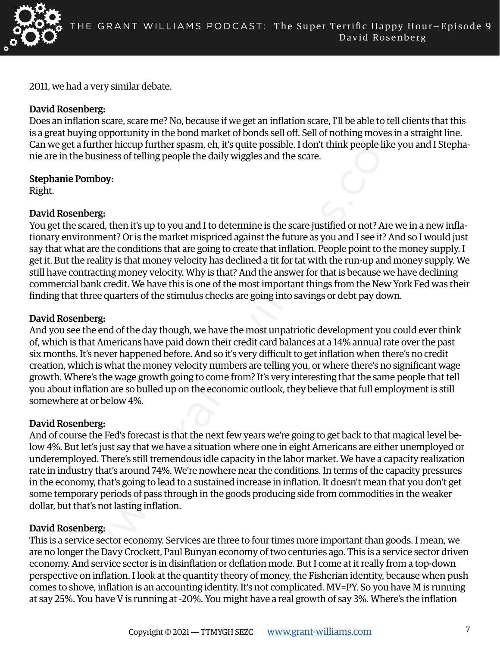

2011, we had a very similar debate.

# David Rosenberg:

Does an inflation scare, scare me? No, because if we get an inflation scare, I'll be able to tell clients that this is a great buying opportunity in the bond market of bonds sell off. Sell of nothing moves in a straight line. Can we get a further hiccup further spasm, eh, it's quite possible. I don't think people like you and I Stephanie are in the business of telling people the daily wiggles and the scare.

Stephanie Pomboy:

Right.

# David Rosenberg:

espectration and Mondmather of two get an inflation scare, TII be able to tell compare the read of proportunity in the bond market of bonds sell off. Sell of nothing moves in a groportunity in the bond market of bonds sell You get the scared, then it's up to you and I to determine is the scare justified or not? Are we in a new inflationary environment? Or is the market mispriced against the future as you and I see it? And so I would just say that what are the conditions that are going to create that inflation. People point to the money supply. I get it. But the reality is that money velocity has declined a tit for tat with the run-up and money supply. We still have contracting money velocity. Why is that? And the answer for that is because we have declining commercial bank credit. We have this is one of the most important things from the New York Fed was their finding that three quarters of the stimulus checks are going into savings or debt pay down.

# David Rosenberg:

And you see the end of the day though, we have the most unpatriotic development you could ever think of, which is that Americans have paid down their credit card balances at a 14% annual rate over the past six months. It's never happened before. And so it's very difficult to get inflation when there's no credit creation, which is what the money velocity numbers are telling you, or where there's no significant wage growth. Where's the wage growth going to come from? It's very interesting that the same people that tell you about inflation are so bulled up on the economic outlook, they believe that full employment is still somewhere at or below 4%.

# David Rosenberg:

And of course the Fed's forecast is that the next few years we're going to get back to that magical level below 4%. But let's just say that we have a situation where one in eight Americans are either unemployed or underemployed. There's still tremendous idle capacity in the labor market. We have a capacity realization rate in industry that's around 74%. We're nowhere near the conditions. In terms of the capacity pressures in the economy, that's going to lead to a sustained increase in inflation. It doesn't mean that you don't get some temporary periods of pass through in the goods producing side from commodities in the weaker dollar, but that's not lasting inflation.

# David Rosenberg:

This is a service sector economy. Services are three to four times more important than goods. I mean, we are no longer the Davy Crockett, Paul Bunyan economy of two centuries ago. This is a service sector driven economy. And service sector is in disinflation or deflation mode. But I come at it really from a top-down perspective on inflation. I look at the quantity theory of money, the Fisherian identity, because when push comes to shove, inflation is an accounting identity. It's not complicated. MV=PY. So you have M is running at say 25%. You have V is running at -20%. You might have a real growth of say 3%. Where's the inflation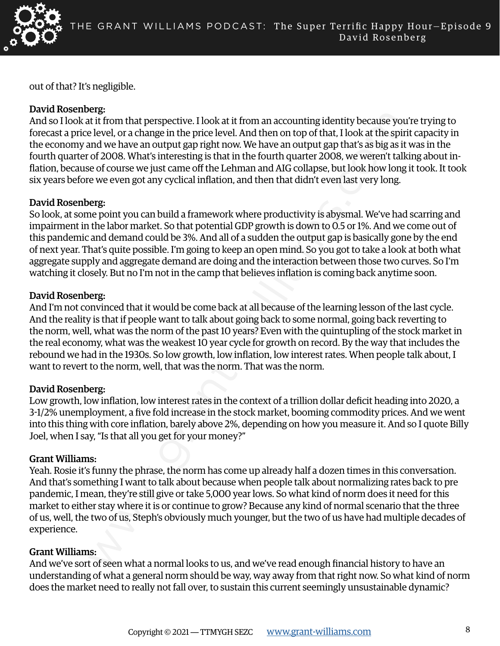

out of that? It's negligible.

# David Rosenberg:

And so I look at it from that perspective. I look at it from an accounting identity because you're trying to forecast a price level, or a change in the price level. And then on top of that, I look at the spirit capacity in the economy and we have an output gap right now. We have an output gap that's as big as it was in the fourth quarter of 2008. What's interesting is that in the fourth quarter 2008, we weren't talking about inflation, because of course we just came off the Lehman and AIG collapse, but look how long it took. It took six years before we even got any cyclical inflation, and then that didn't even last very long.

# David Rosenberg:

So look, at some point you can build a framework where productivity is abysmal. We've had scarring and impairment in the labor market. So that potential GDP growth is down to 0.5 or 1%. And we come out of this pandemic and demand could be 3%. And all of a sudden the output gap is basically gone by the end of next year. That's quite possible. I'm going to keep an open mind. So you got to take a look at both what aggregate supply and aggregate demand are doing and the interaction between those two curves. So I'm watching it closely. But no I'm not in the camp that believes inflation is coming back anytime soon.

# David Rosenberg:

exist to the members of the price level. Also that from an accounting identity because yourds at level. In a price level and then on top of that, llook at the spin small we have an output gap right mow. We have an output g And I'm not convinced that it would be come back at all because of the learning lesson of the last cycle. And the reality is that if people want to talk about going back to some normal, going back reverting to the norm, well, what was the norm of the past 10 years? Even with the quintupling of the stock market in the real economy, what was the weakest 10 year cycle for growth on record. By the way that includes the rebound we had in the 1930s. So low growth, low inflation, low interest rates. When people talk about, I want to revert to the norm, well, that was the norm. That was the norm.

# David Rosenberg:

Low growth, low inflation, low interest rates in the context of a trillion dollar deficit heading into 2020, a 3-1/2% unemployment, a five fold increase in the stock market, booming commodity prices. And we went into this thing with core inflation, barely above 2%, depending on how you measure it. And so I quote Billy Joel, when I say, "Is that all you get for your money?"

# Grant Williams:

Yeah. Rosie it's funny the phrase, the norm has come up already half a dozen times in this conversation. And that's something I want to talk about because when people talk about normalizing rates back to pre pandemic, I mean, they're still give or take 5,000 year lows. So what kind of norm does it need for this market to either stay where it is or continue to grow? Because any kind of normal scenario that the three of us, well, the two of us, Steph's obviously much younger, but the two of us have had multiple decades of experience.

# Grant Williams:

And we've sort of seen what a normal looks to us, and we've read enough financial history to have an understanding of what a general norm should be way, way away from that right now. So what kind of norm does the market need to really not fall over, to sustain this current seemingly unsustainable dynamic?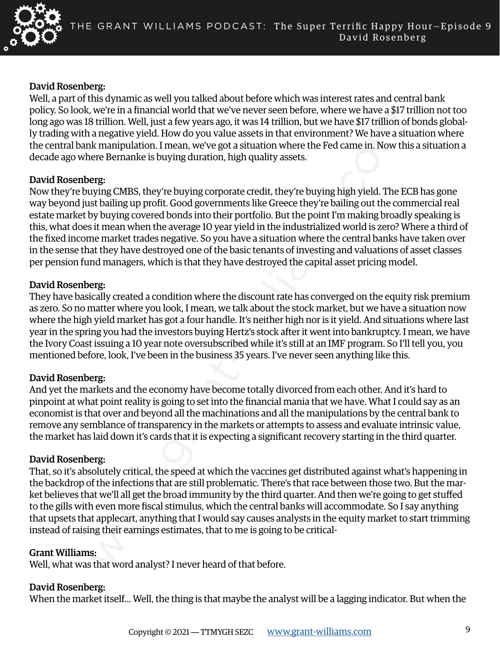

#### David Rosenberg:

Well, a part of this dynamic as well you talked about before which was interest rates and central bank policy. So look, we're in a financial world that we've never seen before, where we have a \$17 trillion not too long ago was 18 trillion. Well, just a few years ago, it was 14 trillion, but we have \$17 trillion of bonds globally trading with a negative yield. How do you value assets in that environment? We have a situation where the central bank manipulation. I mean, we've got a situation where the Fed came in. Now this a situation a decade ago where Bernanke is buying duration, high quality assets.

#### David Rosenberg:

we we not an inductate would use the three to the three to the marked and the marked and a mappire yield. How to buy alter the marked and an ingrative yield. How that we we have a size and a magnity yield. How to out value Now they're buying CMBS, they're buying corporate credit, they're buying high yield. The ECB has gone way beyond just bailing up profit. Good governments like Greece they're bailing out the commercial real estate market by buying covered bonds into their portfolio. But the point I'm making broadly speaking is this, what does it mean when the average 10 year yield in the industrialized world is zero? Where a third of the fixed income market trades negative. So you have a situation where the central banks have taken over in the sense that they have destroyed one of the basic tenants of investing and valuations of asset classes per pension fund managers, which is that they have destroyed the capital asset pricing model.

#### David Rosenberg:

They have basically created a condition where the discount rate has converged on the equity risk premium as zero. So no matter where you look, I mean, we talk about the stock market, but we have a situation now where the high yield market has got a four handle. It's neither high nor is it yield. And situations where last year in the spring you had the investors buying Hertz's stock after it went into bankruptcy. I mean, we have the Ivory Coast issuing a 10 year note oversubscribed while it's still at an IMF program. So I'll tell you, you mentioned before, look, I've been in the business 35 years. I've never seen anything like this.

# David Rosenberg:

And yet the markets and the economy have become totally divorced from each other. And it's hard to pinpoint at what point reality is going to set into the financial mania that we have. What I could say as an economist is that over and beyond all the machinations and all the manipulations by the central bank to remove any semblance of transparency in the markets or attempts to assess and evaluate intrinsic value, the market has laid down it's cards that it is expecting a significant recovery starting in the third quarter.

# David Rosenberg:

That, so it's absolutely critical, the speed at which the vaccines get distributed against what's happening in the backdrop of the infections that are still problematic. There's that race between those two. But the market believes that we'll all get the broad immunity by the third quarter. And then we're going to get stuffed to the gills with even more fiscal stimulus, which the central banks will accommodate. So I say anything that upsets that applecart, anything that I would say causes analysts in the equity market to start trimming instead of raising their earnings estimates, that to me is going to be critical-

#### Grant Williams:

Well, what was that word analyst? I never heard of that before.

# David Rosenberg:

When the market itself... Well, the thing is that maybe the analyst will be a lagging indicator. But when the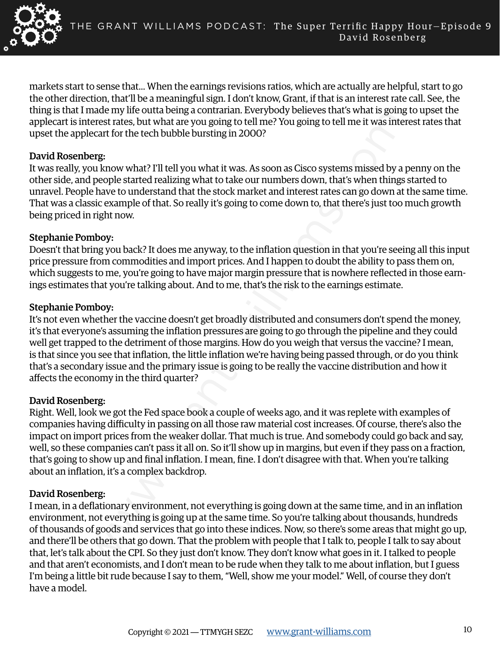

markets start to sense that... When the earnings revisions ratios, which are actually are helpful, start to go the other direction, that'll be a meaningful sign. I don't know, Grant, if that is an interest rate call. See, the thing is that I made my life outta being a contrarian. Everybody believes that's what is going to upset the applecart is interest rates, but what are you going to tell me? You going to tell me it was interest rates that upset the applecart for the tech bubble bursting in 2000?

#### David Rosenberg:

It was really, you know what? I'll tell you what it was. As soon as Cisco systems missed by a penny on the other side, and people started realizing what to take our numbers down, that's when things started to unravel. People have to understand that the stock market and interest rates can go down at the same time. That was a classic example of that. So really it's going to come down to, that there's just too much growth being priced in right now.

# Stephanie Pomboy:

Doesn't that bring you back? It does me anyway, to the inflation question in that you're seeing all this input price pressure from commodities and import prices. And I happen to doubt the ability to pass them on, which suggests to me, you're going to have major margin pressure that is nowhere reflected in those earnings estimates that you're talking about. And to me, that's the risk to the earnings estimate.

#### Stephanie Pomboy:

It's not even whether the vaccine doesn't get broadly distributed and consumers don't spend the money, it's that everyone's assuming the inflation pressures are going to go through the pipeline and they could well get trapped to the detriment of those margins. How do you weigh that versus the vaccine? I mean, is that since you see that inflation, the little inflation we're having being passed through, or do you think that's a secondary issue and the primary issue is going to be really the vaccine distribution and how it affects the economy in the third quarter?

#### David Rosenberg:

Right. Well, look we got the Fed space book a couple of weeks ago, and it was replete with examples of companies having difficulty in passing on all those raw material cost increases. Of course, there's also the impact on import prices from the weaker dollar. That much is true. And somebody could go back and say, well, so these companies can't pass it all on. So it'll show up in margins, but even if they pass on a fraction, that's going to show up and final inflation. I mean, fine. I don't disagree with that. When you're talking about an inflation, it's a complex backdrop.

# David Rosenberg:

metering in contained to the derivation of the space of the space of the space of the space of the space and the space of the space of the cent for the tech bubble bursting in 2000?<br>There is that we what are you going to t I mean, in a deflationary environment, not everything is going down at the same time, and in an inflation environment, not everything is going up at the same time. So you're talking about thousands, hundreds of thousands of goods and services that go into these indices. Now, so there's some areas that might go up, and there'll be others that go down. That the problem with people that I talk to, people I talk to say about that, let's talk about the CPI. So they just don't know. They don't know what goes in it. I talked to people and that aren't economists, and I don't mean to be rude when they talk to me about inflation, but I guess I'm being a little bit rude because I say to them, "Well, show me your model." Well, of course they don't have a model.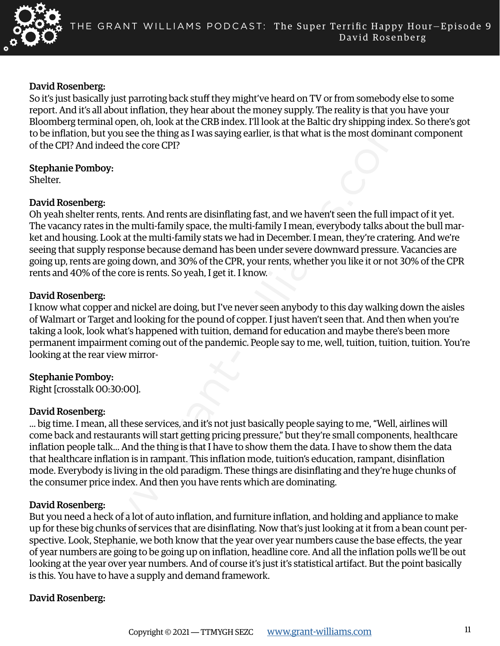

#### David Rosenberg:

So it's just basically just parroting back stuff they might've heard on TV or from somebody else to some report. And it's all about inflation, they hear about the money supply. The reality is that you have your Bloomberg terminal open, oh, look at the CRB index. I'll look at the Baltic dry shipping index. So there's got to be inflation, but you see the thing as I was saying earlier, is that what is the most dominant component of the CPI? And indeed the core CPI?

Stephanie Pomboy:

Shelter.

# David Rosenberg:

Oh yeah shelter rents, rents. And rents are disinflating fast, and we haven't seen the full impact of it yet. The vacancy rates in the multi-family space, the multi-family I mean, everybody talks about the bull market and housing. Look at the multi-family stats we had in December. I mean, they're cratering. And we're seeing that supply response because demand has been under severe downward pressure. Vacancies are going up, rents are going down, and 30% of the CPR, your rents, whether you like it or not 30% of the CPR rents and 40% of the core is rents. So yeah, I get it. I know.

# David Rosenberg:

I know what copper and nickel are doing, but I've never seen anybody to this day walking down the aisles of Walmart or Target and looking for the pound of copper. I just haven't seen that. And then when you're taking a look, look what's happened with tuition, demand for education and maybe there's been more permanent impairment coming out of the pandemic. People say to me, well, tuition, tuition, tuition. You're looking at the rear view mirror-

# Stephanie Pomboy:

Right [crosstalk 00:30:00].

# David Rosenberg:

an adout minaton, they near adout the money suppy. The reantly solute that out the supper than the supper than the supper than the supper that the supper that the supper that the supper that the come of the thing as I was ... big time. I mean, all these services, and it's not just basically people saying to me, "Well, airlines will come back and restaurants will start getting pricing pressure," but they're small components, healthcare inflation people talk... And the thing is that I have to show them the data. I have to show them the data that healthcare inflation is in rampant. This inflation mode, tuition's education, rampant, disinflation mode. Everybody is living in the old paradigm. These things are disinflating and they're huge chunks of the consumer price index. And then you have rents which are dominating.

# David Rosenberg:

But you need a heck of a lot of auto inflation, and furniture inflation, and holding and appliance to make up for these big chunks of services that are disinflating. Now that's just looking at it from a bean count perspective. Look, Stephanie, we both know that the year over year numbers cause the base effects, the year of year numbers are going to be going up on inflation, headline core. And all the inflation polls we'll be out looking at the year over year numbers. And of course it's just it's statistical artifact. But the point basically is this. You have to have a supply and demand framework.

# David Rosenberg: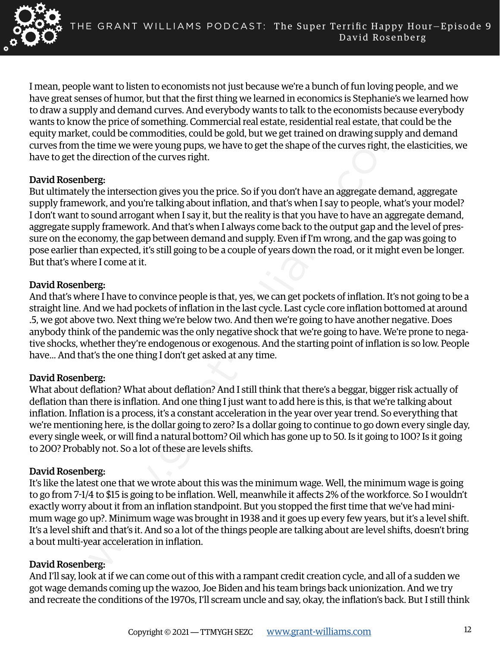

I mean, people want to listen to economists not just because we're a bunch of fun loving people, and we have great senses of humor, but that the first thing we learned in economics is Stephanie's we learned how to draw a supply and demand curves. And everybody wants to talk to the economists because everybody wants to know the price of something. Commercial real estate, residential real estate, that could be the equity market, could be commodities, could be gold, but we get trained on drawing supply and demand curves from the time we were young pups, we have to get the shape of the curves right, the elasticities, we have to get the direction of the curves right.

#### David Rosenberg:

by and ventance turves. And veryboody wants to cance to the minimum waps because the method with form the price of something. Commercial real state, residential real estate, that certain the price of something. Commercial But ultimately the intersection gives you the price. So if you don't have an aggregate demand, aggregate supply framework, and you're talking about inflation, and that's when I say to people, what's your model? I don't want to sound arrogant when I say it, but the reality is that you have to have an aggregate demand, aggregate supply framework. And that's when I always come back to the output gap and the level of pressure on the economy, the gap between demand and supply. Even if I'm wrong, and the gap was going to pose earlier than expected, it's still going to be a couple of years down the road, or it might even be longer. But that's where I come at it.

#### David Rosenberg:

And that's where I have to convince people is that, yes, we can get pockets of inflation. It's not going to be a straight line. And we had pockets of inflation in the last cycle. Last cycle core inflation bottomed at around .5, we got above two. Next thing we're below two. And then we're going to have another negative. Does anybody think of the pandemic was the only negative shock that we're going to have. We're prone to negative shocks, whether they're endogenous or exogenous. And the starting point of inflation is so low. People have... And that's the one thing I don't get asked at any time.

# David Rosenberg:

What about deflation? What about deflation? And I still think that there's a beggar, bigger risk actually of deflation than there is inflation. And one thing I just want to add here is this, is that we're talking about inflation. Inflation is a process, it's a constant acceleration in the year over year trend. So everything that we're mentioning here, is the dollar going to zero? Is a dollar going to continue to go down every single day, every single week, or will find a natural bottom? Oil which has gone up to 50. Is it going to 100? Is it going to 200? Probably not. So a lot of these are levels shifts.

# David Rosenberg:

It's like the latest one that we wrote about this was the minimum wage. Well, the minimum wage is going to go from 7-1/4 to \$15 is going to be inflation. Well, meanwhile it affects 2% of the workforce. So I wouldn't exactly worry about it from an inflation standpoint. But you stopped the first time that we've had minimum wage go up?. Minimum wage was brought in 1938 and it goes up every few years, but it's a level shift. It's a level shift and that's it. And so a lot of the things people are talking about are level shifts, doesn't bring a bout multi-year acceleration in inflation.

# David Rosenberg:

And I'll say, look at if we can come out of this with a rampant credit creation cycle, and all of a sudden we got wage demands coming up the wazoo, Joe Biden and his team brings back unionization. And we try and recreate the conditions of the 1970s, I'll scream uncle and say, okay, the inflation's back. But I still think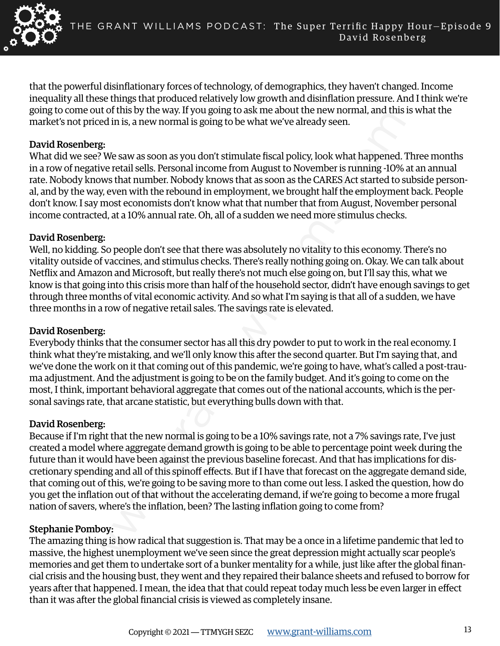

that the powerful disinflationary forces of technology, of demographics, they haven't changed. Income inequality all these things that produced relatively low growth and disinflation pressure. And I think we're going to come out of this by the way. If you going to ask me about the new normal, and this is what the market's not priced in is, a new normal is going to be what we've already seen.

### David Rosenberg:

What did we see? We saw as soon as you don't stimulate fiscal policy, look what happened. Three months in a row of negative retail sells. Personal income from August to November is running -10% at an annual rate. Nobody knows that number. Nobody knows that as soon as the CARES Act started to subside personal, and by the way, even with the rebound in employment, we brought half the employment back. People don't know. I say most economists don't know what that number that from August, November personal income contracted, at a 10% annual rate. Oh, all of a sudden we need more stimulus checks.

#### David Rosenberg:

Well, no kidding. So people don't see that there was absolutely no vitality to this economy. There's no vitality outside of vaccines, and stimulus checks. There's really nothing going on. Okay. We can talk about Netflix and Amazon and Microsoft, but really there's not much else going on, but I'll say this, what we know is that going into this crisis more than half of the household sector, didn't have enough savings to get through three months of vital economic activity. And so what I'm saying is that all of a sudden, we have three months in a row of negative retail sales. The savings rate is elevated.

#### David Rosenberg:

Everybody thinks that the consumer sector has all this dry powder to put to work in the real economy. I think what they're mistaking, and we'll only know this after the second quarter. But I'm saying that, and we've done the work on it that coming out of this pandemic, we're going to have, what's called a post-trauma adjustment. And the adjustment is going to be on the family budget. And it's going to come on the most, I think, important behavioral aggregate that comes out of the national accounts, which is the personal savings rate, that arcane statistic, but everything bulls down with that.

# David Rosenberg:

Out Out as by the way. It you going to ask atte adott the diver borinal, and this circle will also a sect we see and its going to be what we ve already seen.<br>
reget We saw as soon as you don't stimulate fiscal policy, look Because if I'm right that the new normal is going to be a 10% savings rate, not a 7% savings rate, I've just created a model where aggregate demand growth is going to be able to percentage point week during the future than it would have been against the previous baseline forecast. And that has implications for discretionary spending and all of this spinoff effects. But if I have that forecast on the aggregate demand side, that coming out of this, we're going to be saving more to than come out less. I asked the question, how do you get the inflation out of that without the accelerating demand, if we're going to become a more frugal nation of savers, where's the inflation, been? The lasting inflation going to come from?

#### Stephanie Pomboy:

The amazing thing is how radical that suggestion is. That may be a once in a lifetime pandemic that led to massive, the highest unemployment we've seen since the great depression might actually scar people's memories and get them to undertake sort of a bunker mentality for a while, just like after the global financial crisis and the housing bust, they went and they repaired their balance sheets and refused to borrow for years after that happened. I mean, the idea that that could repeat today much less be even larger in effect than it was after the global financial crisis is viewed as completely insane.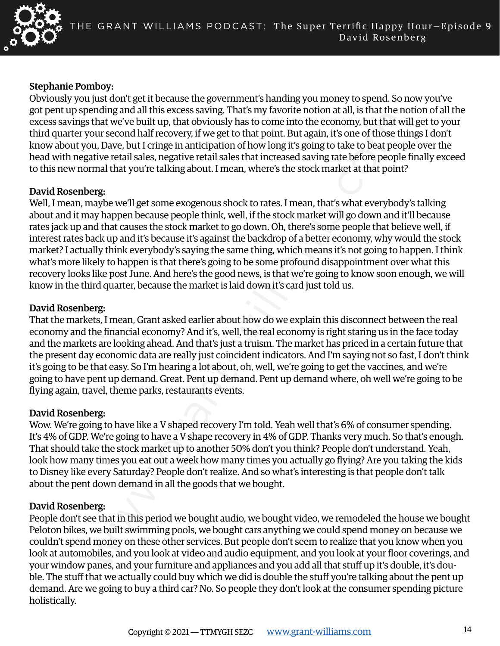

### Stephanie Pomboy:

Obviously you just don't get it because the government's handing you money to spend. So now you've got pent up spending and all this excess saving. That's my favorite notion at all, is that the notion of all the excess savings that we've built up, that obviously has to come into the economy, but that will get to your third quarter your second half recovery, if we get to that point. But again, it's one of those things I don't know about you, Dave, but I cringe in anticipation of how long it's going to take to beat people over the head with negative retail sales, negative retail sales that increased saving rate before people finally exceed to this new normal that you're talking about. I mean, where's the stock market at that point?

#### David Rosenberg:

entang and an unise scess sarung; mats my actuoming and an an sellation that an the that the the send of the that we built up, that obviously has to come into the economy, but that we huilt are whill up, that obviously has Well, I mean, maybe we'll get some exogenous shock to rates. I mean, that's what everybody's talking about and it may happen because people think, well, if the stock market will go down and it'll because rates jack up and that causes the stock market to go down. Oh, there's some people that believe well, if interest rates back up and it's because it's against the backdrop of a better economy, why would the stock market? I actually think everybody's saying the same thing, which means it's not going to happen. I think what's more likely to happen is that there's going to be some profound disappointment over what this recovery looks like post June. And here's the good news, is that we're going to know soon enough, we will know in the third quarter, because the market is laid down it's card just told us.

#### David Rosenberg:

That the markets, I mean, Grant asked earlier about how do we explain this disconnect between the real economy and the financial economy? And it's, well, the real economy is right staring us in the face today and the markets are looking ahead. And that's just a truism. The market has priced in a certain future that the present day economic data are really just coincident indicators. And I'm saying not so fast, I don't think it's going to be that easy. So I'm hearing a lot about, oh, well, we're going to get the vaccines, and we're going to have pent up demand. Great. Pent up demand. Pent up demand where, oh well we're going to be flying again, travel, theme parks, restaurants events.

#### David Rosenberg:

Wow. We're going to have like a V shaped recovery I'm told. Yeah well that's 6% of consumer spending. It's 4% of GDP. We're going to have a V shape recovery in 4% of GDP. Thanks very much. So that's enough. That should take the stock market up to another 50% don't you think? People don't understand. Yeah, look how many times you eat out a week how many times you actually go flying? Are you taking the kids to Disney like every Saturday? People don't realize. And so what's interesting is that people don't talk about the pent down demand in all the goods that we bought.

# David Rosenberg:

People don't see that in this period we bought audio, we bought video, we remodeled the house we bought Peloton bikes, we built swimming pools, we bought cars anything we could spend money on because we couldn't spend money on these other services. But people don't seem to realize that you know when you look at automobiles, and you look at video and audio equipment, and you look at your floor coverings, and your window panes, and your furniture and appliances and you add all that stuff up it's double, it's double. The stuff that we actually could buy which we did is double the stuff you're talking about the pent up demand. Are we going to buy a third car? No. So people they don't look at the consumer spending picture holistically.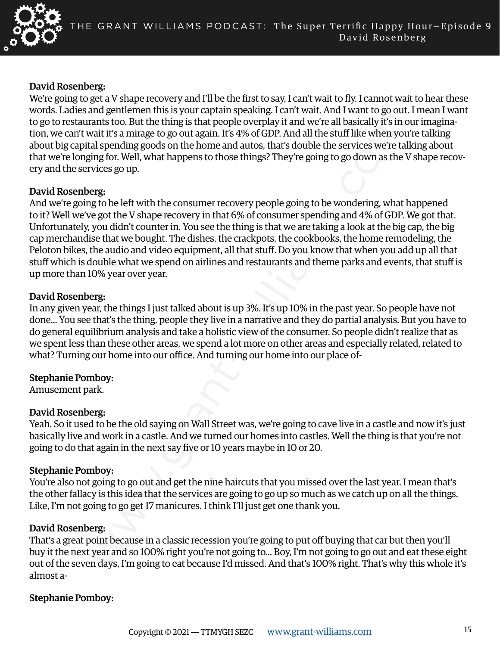

#### David Rosenberg:

We're going to get a V shape recovery and I'll be the first to say, I can't wait to fly. I cannot wait to hear these words. Ladies and gentlemen this is your captain speaking. I can't wait. And I want to go out. I mean I want to go to restaurants too. But the thing is that people overplay it and we're all basically it's in our imagination, we can't wait it's a mirage to go out again. It's 4% of GDP. And all the stuff like when you're talking about big capital spending goods on the home and autos, that's double the services we're talking about that we're longing for. Well, what happens to those things? They're going to go down as the V shape recovery and the services go up.

#### David Rosenberg:

and generalities and solved and solved and solved and we cannot op solved and we cannot op the calibraction and the calibraction and the samilar foo. But the thing is that people overplay it and we fe all basically it's in And we're going to be left with the consumer recovery people going to be wondering, what happened to it? Well we've got the V shape recovery in that 6% of consumer spending and 4% of GDP. We got that. Unfortunately, you didn't counter in. You see the thing is that we are taking a look at the big cap, the big cap merchandise that we bought. The dishes, the crackpots, the cookbooks, the home remodeling, the Peloton bikes, the audio and video equipment, all that stuff. Do you know that when you add up all that stuff which is double what we spend on airlines and restaurants and theme parks and events, that stuff is up more than 10% year over year.

#### David Rosenberg:

In any given year, the things I just talked about is up 3%. It's up 10% in the past year. So people have not done... You see that's the thing, people they live in a narrative and they do partial analysis. But you have to do general equilibrium analysis and take a holistic view of the consumer. So people didn't realize that as we spent less than these other areas, we spend a lot more on other areas and especially related, related to what? Turning our home into our office. And turning our home into our place of-

# Stephanie Pomboy:

Amusement park.

# David Rosenberg:

Yeah. So it used to be the old saying on Wall Street was, we're going to cave live in a castle and now it's just basically live and work in a castle. And we turned our homes into castles. Well the thing is that you're not going to do that again in the next say five or 10 years maybe in 10 or 20.

# Stephanie Pomboy:

You're also not going to go out and get the nine haircuts that you missed over the last year. I mean that's the other fallacy is this idea that the services are going to go up so much as we catch up on all the things. Like, I'm not going to go get 17 manicures. I think I'll just get one thank you.

#### David Rosenberg:

That's a great point because in a classic recession you're going to put off buying that car but then you'll buy it the next year and so 100% right you're not going to... Boy, I'm not going to go out and eat these eight out of the seven days, I'm going to eat because I'd missed. And that's 100% right. That's why this whole it's almost a-

# Stephanie Pomboy: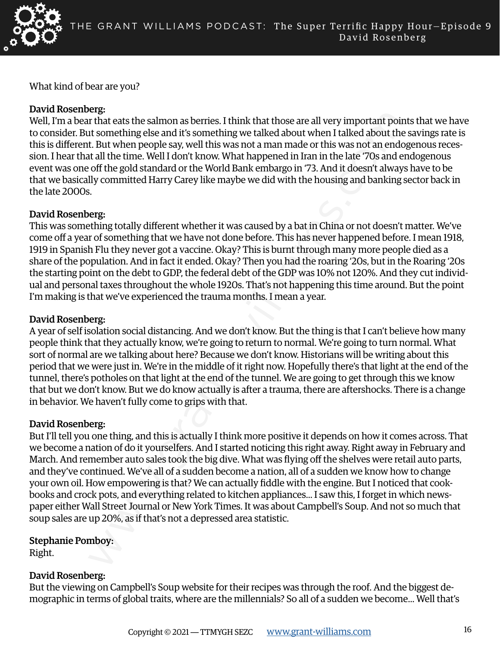

What kind of bear are you?

### David Rosenberg:

Well, I'm a bear that eats the salmon as berries. I think that those are all very important points that we have to consider. But something else and it's something we talked about when I talked about the savings rate is this is different. But when people say, well this was not a man made or this was not an endogenous recession. I hear that all the time. Well I don't know. What happened in Iran in the late '70s and endogenous event was one off the gold standard or the World Bank embargo in '73. And it doesn't always have to be that we basically committed Harry Carey like maybe we did with the housing and banking sector back in the late 2000s.

#### David Rosenberg:

This was something totally different whether it was caused by a bat in China or not doesn't matter. We've come off a year of something that we have not done before. This has never happened before. I mean 1918, 1919 in Spanish Flu they never got a vaccine. Okay? This is burnt through many more people died as a share of the population. And in fact it ended. Okay? Then you had the roaring '20s, but in the Roaring '20s the starting point on the debt to GDP, the federal debt of the GDP was 10% not 120%. And they cut individual and personal taxes throughout the whole 1920s. That's not happening this time around. But the point I'm making is that we've experienced the trauma months. I mean a year.

# David Rosenberg:

A year of self isolation social distancing. And we don't know. But the thing is that I can't believe how many people think that they actually know, we're going to return to normal. We're going to turn normal. What sort of normal are we talking about here? Because we don't know. Historians will be writing about this period that we were just in. We're in the middle of it right now. Hopefully there's that light at the end of the tunnel, there's potholes on that light at the end of the tunnel. We are going to get through this we know that but we don't know. But we do know actually is after a trauma, there are aftershocks. There is a change in behavior. We haven't fully come to grips with that.

# David Rosenberg:

erg.<br>That eats the salmon as berries. I think that those are all very important points to smething else and its something we talked about when I talked about the studie. If the time when people say, well this was not a man But I'll tell you one thing, and this is actually I think more positive it depends on how it comes across. That we become a nation of do it yourselfers. And I started noticing this right away. Right away in February and March. And remember auto sales took the big dive. What was flying off the shelves were retail auto parts, and they've continued. We've all of a sudden become a nation, all of a sudden we know how to change your own oil. How empowering is that? We can actually fiddle with the engine. But I noticed that cookbooks and crock pots, and everything related to kitchen appliances... I saw this, I forget in which newspaper either Wall Street Journal or New York Times. It was about Campbell's Soup. And not so much that soup sales are up 20%, as if that's not a depressed area statistic.

Stephanie Pomboy:

Right.

#### David Rosenberg:

But the viewing on Campbell's Soup website for their recipes was through the roof. And the biggest demographic in terms of global traits, where are the millennials? So all of a sudden we become... Well that's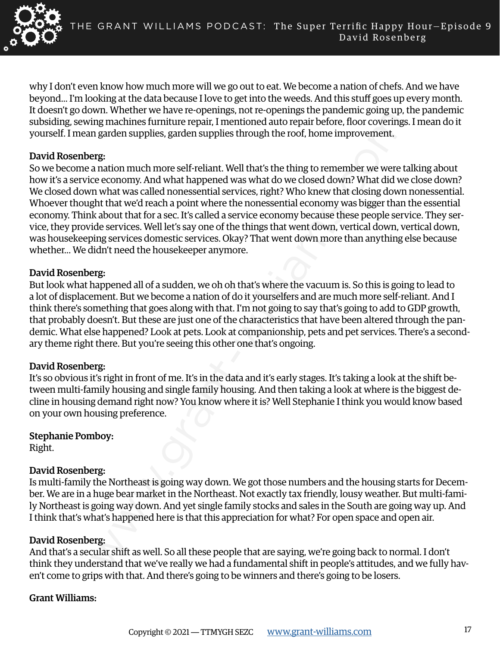

why I don't even know how much more will we go out to eat. We become a nation of chefs. And we have beyond... I'm looking at the data because I love to get into the weeds. And this stuff goes up every month. It doesn't go down. Whether we have re-openings, not re-openings the pandemic going up, the pandemic subsiding, sewing machines furniture repair, I mentioned auto repair before, floor coverings. I mean do it yourself. I mean garden supplies, garden supplies through the roof, home improvement.

#### David Rosenberg:

win. Vueltiet we reave trepelonings, not re-operaling sure planet film and the particular similar paractions are reaver to planet in mation much more self-reliant. Well thats the thing to remember we were the economy. And So we become a nation much more self-reliant. Well that's the thing to remember we were talking about how it's a service economy. And what happened was what do we closed down? What did we close down? We closed down what was called nonessential services, right? Who knew that closing down nonessential. Whoever thought that we'd reach a point where the nonessential economy was bigger than the essential economy. Think about that for a sec. It's called a service economy because these people service. They service, they provide services. Well let's say one of the things that went down, vertical down, vertical down, was housekeeping services domestic services. Okay? That went down more than anything else because whether... We didn't need the housekeeper anymore.

#### David Rosenberg:

But look what happened all of a sudden, we oh oh that's where the vacuum is. So this is going to lead to a lot of displacement. But we become a nation of do it yourselfers and are much more self-reliant. And I think there's something that goes along with that. I'm not going to say that's going to add to GDP growth, that probably doesn't. But these are just one of the characteristics that have been altered through the pandemic. What else happened? Look at pets. Look at companionship, pets and pet services. There's a secondary theme right there. But you're seeing this other one that's ongoing.

# David Rosenberg:

It's so obvious it's right in front of me. It's in the data and it's early stages. It's taking a look at the shift between multi-family housing and single family housing. And then taking a look at where is the biggest decline in housing demand right now? You know where it is? Well Stephanie I think you would know based on your own housing preference.

# Stephanie Pomboy:

Right.

# David Rosenberg:

Is multi-family the Northeast is going way down. We got those numbers and the housing starts for December. We are in a huge bear market in the Northeast. Not exactly tax friendly, lousy weather. But multi-family Northeast is going way down. And yet single family stocks and sales in the South are going way up. And I think that's what's happened here is that this appreciation for what? For open space and open air.

#### David Rosenberg:

And that's a secular shift as well. So all these people that are saying, we're going back to normal. I don't think they understand that we've really we had a fundamental shift in people's attitudes, and we fully haven't come to grips with that. And there's going to be winners and there's going to be losers.

#### Grant Williams: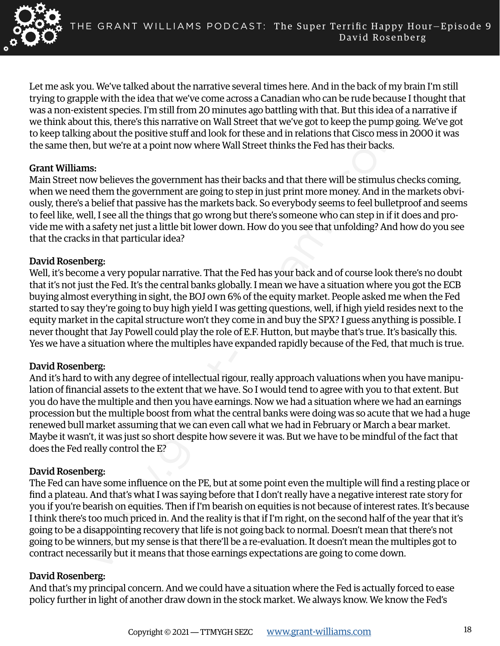

Let me ask you. We've talked about the narrative several times here. And in the back of my brain I'm still trying to grapple with the idea that we've come across a Canadian who can be rude because I thought that was a non-existent species. I'm still from 20 minutes ago battling with that. But this idea of a narrative if we think about this, there's this narrative on Wall Street that we've got to keep the pump going. We've got to keep talking about the positive stuff and look for these and in relations that Cisco mess in 2000 it was the same then, but we're at a point now where Wall Street thinks the Fed has their backs.

#### Grant Williams:

Main Street now believes the government has their backs and that there will be stimulus checks coming, when we need them the government are going to step in just print more money. And in the markets obviously, there's a belief that passive has the markets back. So everybody seems to feel bulletproof and seems to feel like, well, I see all the things that go wrong but there's someone who can step in if it does and provide me with a safety net just a little bit lower down. How do you see that unfolding? And how do you see that the cracks in that particular idea?

#### David Rosenberg:

Well, it's become a very popular narrative. That the Fed has your back and of course look there's no doubt that it's not just the Fed. It's the central banks globally. I mean we have a situation where you got the ECB buying almost everything in sight, the BOJ own 6% of the equity market. People asked me when the Fed started to say they're going to buy high yield I was getting questions, well, if high yield resides next to the equity market in the capital structure won't they come in and buy the SPX? I guess anything is possible. I never thought that Jay Powell could play the role of E.F. Hutton, but maybe that's true. It's basically this. Yes we have a situation where the multiples have expanded rapidly because of the Fed, that much is true.

# David Rosenberg:

And it's hard to with any degree of intellectual rigour, really approach valuations when you have manipulation of financial assets to the extent that we have. So I would tend to agree with you to that extent. But you do have the multiple and then you have earnings. Now we had a situation where we had an earnings procession but the multiple boost from what the central banks were doing was so acute that we had a huge renewed bull market assuming that we can even call what we had in February or March a bear market. Maybe it wasn't, it was just so short despite how severe it was. But we have to be mindful of the fact that does the Fed really control the E?

# David Rosenberg:

event species. In summation wall intered spot and will street the two thus tested to the test of the pump go and the positive stuff and look for these and in relations that Cisco mess is about the positive stuff and look f The Fed can have some influence on the PE, but at some point even the multiple will find a resting place or find a plateau. And that's what I was saying before that I don't really have a negative interest rate story for you if you're bearish on equities. Then if I'm bearish on equities is not because of interest rates. It's because I think there's too much priced in. And the reality is that if I'm right, on the second half of the year that it's going to be a disappointing recovery that life is not going back to normal. Doesn't mean that there's not going to be winners, but my sense is that there'll be a re-evaluation. It doesn't mean the multiples got to contract necessarily but it means that those earnings expectations are going to come down.

# David Rosenberg:

And that's my principal concern. And we could have a situation where the Fed is actually forced to ease policy further in light of another draw down in the stock market. We always know. We know the Fed's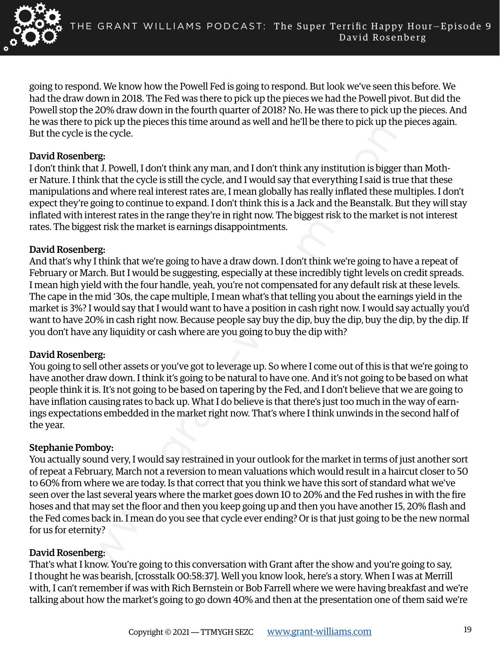

going to respond. We know how the Powell Fed is going to respond. But look we've seen this before. We had the draw down in 2018. The Fed was there to pick up the pieces we had the Powell pivot. But did the Powell stop the 20% draw down in the fourth quarter of 2018? No. He was there to pick up the pieces. And he was there to pick up the pieces this time around as well and he'll be there to pick up the pieces again. But the cycle is the cycle.

### David Rosenberg:

I don't think that J. Powell, I don't think any man, and I don't think any institution is bigger than Mother Nature. I think that the cycle is still the cycle, and I would say that everything I said is true that these manipulations and where real interest rates are, I mean globally has really inflated these multiples. I don't expect they're going to continue to expand. I don't think this is a Jack and the Beanstalk. But they will stay inflated with interest rates in the range they're in right now. The biggest risk to the market is not interest rates. The biggest risk the market is earnings disappointments.

# David Rosenberg:

2008 and wow in the found up and all other and the mass are the optical mass are the state of the state of the state of the state of the state of the state. The state of the state of the state of the state of the state of And that's why I think that we're going to have a draw down. I don't think we're going to have a repeat of February or March. But I would be suggesting, especially at these incredibly tight levels on credit spreads. I mean high yield with the four handle, yeah, you're not compensated for any default risk at these levels. The cape in the mid '30s, the cape multiple, I mean what's that telling you about the earnings yield in the market is 3%? I would say that I would want to have a position in cash right now. I would say actually you'd want to have 20% in cash right now. Because people say buy the dip, buy the dip, buy the dip, by the dip. If you don't have any liquidity or cash where are you going to buy the dip with?

# David Rosenberg:

You going to sell other assets or you've got to leverage up. So where I come out of this is that we're going to have another draw down. I think it's going to be natural to have one. And it's not going to be based on what people think it is. It's not going to be based on tapering by the Fed, and I don't believe that we are going to have inflation causing rates to back up. What I do believe is that there's just too much in the way of earnings expectations embedded in the market right now. That's where I think unwinds in the second half of the year.

# Stephanie Pomboy:

You actually sound very, I would say restrained in your outlook for the market in terms of just another sort of repeat a February, March not a reversion to mean valuations which would result in a haircut closer to 50 to 60% from where we are today. Is that correct that you think we have this sort of standard what we've seen over the last several years where the market goes down 10 to 20% and the Fed rushes in with the fire hoses and that may set the floor and then you keep going up and then you have another 15, 20% flash and the Fed comes back in. I mean do you see that cycle ever ending? Or is that just going to be the new normal for us for eternity?

# David Rosenberg:

That's what I know. You're going to this conversation with Grant after the show and you're going to say, I thought he was bearish, [crosstalk 00:58:37]. Well you know look, here's a story. When I was at Merrill with, I can't remember if was with Rich Bernstein or Bob Farrell where we were having breakfast and we're talking about how the market's going to go down 40% and then at the presentation one of them said we're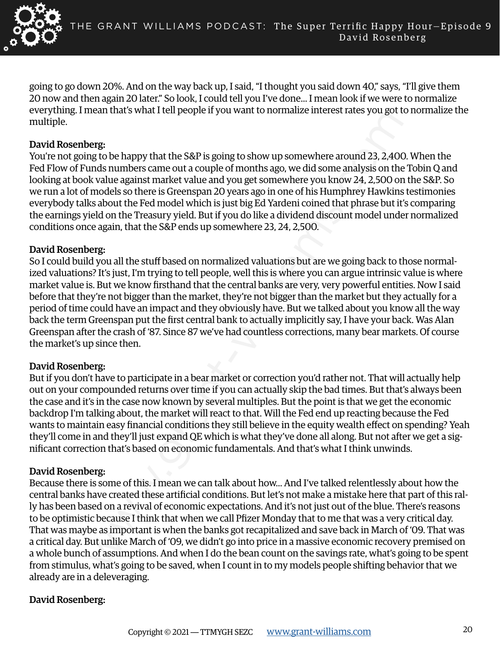

going to go down 20%. And on the way back up, I said, "I thought you said down 40," says, "I'll give them 20 now and then again 20 later." So look, I could tell you I've done... I mean look if we were to normalize everything. I mean that's what I tell people if you want to normalize interest rates you got to normalize the multiple.

### David Rosenberg:

You're not going to be happy that the S&P is going to show up somewhere around 23, 2,400. When the Fed Flow of Funds numbers came out a couple of months ago, we did some analysis on the Tobin Q and looking at book value against market value and you get somewhere you know 24, 2,500 on the S&P. So we run a lot of models so there is Greenspan 20 years ago in one of his Humphrey Hawkins testimonies everybody talks about the Fed model which is just big Ed Yardeni coined that phrase but it's comparing the earnings yield on the Treasury yield. But if you do like a dividend discount model under normalized conditions once again, that the S&P ends up somewhere 23, 24, 2,500.

#### David Rosenberg:

So I could build you all the stuff based on normalized valuations but are we going back to those normalized valuations? It's just, I'm trying to tell people, well this is where you can argue intrinsic value is where market value is. But we know firsthand that the central banks are very, very powerful entities. Now I said before that they're not bigger than the market, they're not bigger than the market but they actually for a period of time could have an impact and they obviously have. But we talked about you know all the way back the term Greenspan put the first central bank to actually implicitly say, I have your back. Was Alan Greenspan after the crash of '87. Since 87 we've had countless corrections, many bear markets. Of course the market's up since then.

# David Rosenberg:

But if you don't have to participate in a bear market or correction you'd rather not. That will actually help out on your compounded returns over time if you can actually skip the bad times. But that's always been the case and it's in the case now known by several multiples. But the point is that we get the economic backdrop I'm talking about, the market will react to that. Will the Fed end up reacting because the Fed wants to maintain easy financial conditions they still believe in the equity wealth effect on spending? Yeah they'll come in and they'll just expand QE which is what they've done all along. But not after we get a significant correction that's based on economic fundamentals. And that's what I think unwinds.

#### David Rosenberg:

erg:<br>
weat inter switch retr people if you want to nothianze interest rates you got e-<br>
regs:<br>
regs:<br>
regs:<br>
regs:<br>
regs:<br>
regs:<br>
complexises once out a couple of months ago, we did some analysis on the<br>
k value against ma Because there is some of this. I mean we can talk about how... And I've talked relentlessly about how the central banks have created these artificial conditions. But let's not make a mistake here that part of this rally has been based on a revival of economic expectations. And it's not just out of the blue. There's reasons to be optimistic because I think that when we call Pfizer Monday that to me that was a very critical day. That was maybe as important is when the banks got recapitalized and save back in March of '09. That was a critical day. But unlike March of '09, we didn't go into price in a massive economic recovery premised on a whole bunch of assumptions. And when I do the bean count on the savings rate, what's going to be spent from stimulus, what's going to be saved, when I count in to my models people shifting behavior that we already are in a deleveraging.

# David Rosenberg: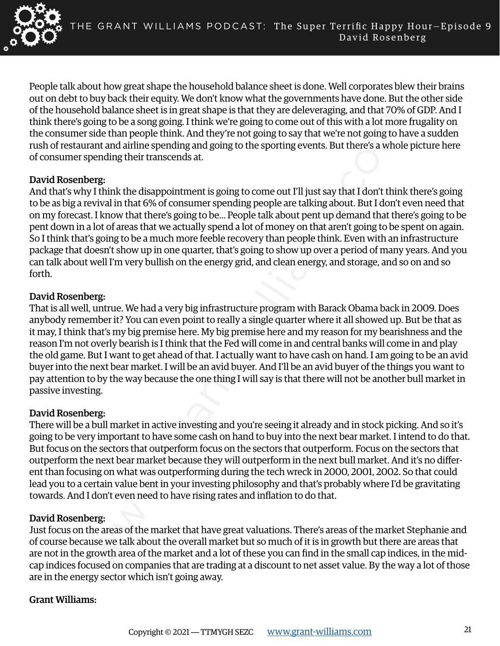

People talk about how great shape the household balance sheet is done. Well corporates blew their brains out on debt to buy back their equity. We don't know what the governments have done. But the other side of the household balance sheet is in great shape is that they are deleveraging, and that 70% of GDP. And I think there's going to be a song going. I think we're going to come out of this with a lot more frugality on the consumer side than people think. And they're not going to say that we're not going to have a sudden rush of restaurant and airline spending and going to the sporting events. But there's a whole picture here of consumer spending their transcends at.

#### David Rosenberg:

And that's why I think the disappointment is going to come out I'll just say that I don't think there's going to be as big a revival in that 6% of consumer spending people are talking about. But I don't even need that on my forecast. I know that there's going to be... People talk about pent up demand that there's going to be pent down in a lot of areas that we actually spend a lot of money on that aren't going to be spent on again. So I think that's going to be a much more feeble recovery than people think. Even with an infrastructure package that doesn't show up in one quarter, that's going to show up over a period of many years. And you can talk about well I'm very bullish on the energy grid, and clean energy, and storage, and so on and so forth.

#### David Rosenberg:

And valuate sultered singled and they are therevergong, and that  $\sim v$  of the mass of the mass of the mass of the mass of the mass of the mass of the mass of the mass of the mass of the mass of the mass of the mass of the That is all well, untrue. We had a very big infrastructure program with Barack Obama back in 2009. Does anybody remember it? You can even point to really a single quarter where it all showed up. But be that as it may, I think that's my big premise here. My big premise here and my reason for my bearishness and the reason I'm not overly bearish is I think that the Fed will come in and central banks will come in and play the old game. But I want to get ahead of that. I actually want to have cash on hand. I am going to be an avid buyer into the next bear market. I will be an avid buyer. And I'll be an avid buyer of the things you want to pay attention to by the way because the one thing I will say is that there will not be another bull market in passive investing.

# David Rosenberg:

There will be a bull market in active investing and you're seeing it already and in stock picking. And so it's going to be very important to have some cash on hand to buy into the next bear market. I intend to do that. But focus on the sectors that outperform focus on the sectors that outperform. Focus on the sectors that outperform the next bear market because they will outperform in the next bull market. And it's no different than focusing on what was outperforming during the tech wreck in 2000, 2001, 2002. So that could lead you to a certain value bent in your investing philosophy and that's probably where I'd be gravitating towards. And I don't even need to have rising rates and inflation to do that.

# David Rosenberg:

Just focus on the areas of the market that have great valuations. There's areas of the market Stephanie and of course because we talk about the overall market but so much of it is in growth but there are areas that are not in the growth area of the market and a lot of these you can find in the small cap indices, in the midcap indices focused on companies that are trading at a discount to net asset value. By the way a lot of those are in the energy sector which isn't going away.

#### Grant Williams: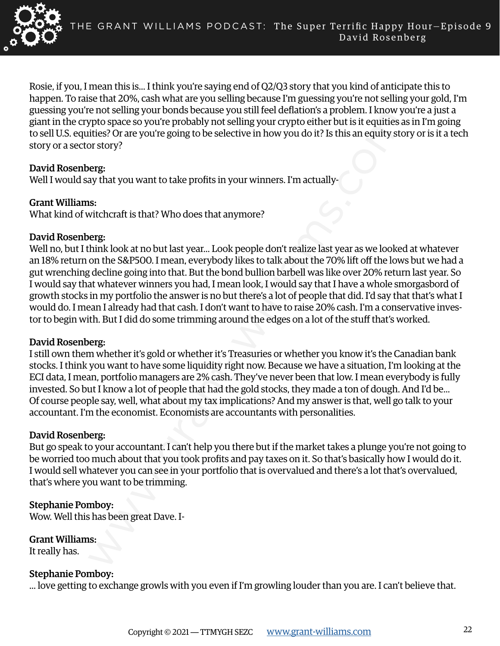

Rosie, if you, I mean this is... I think you're saying end of Q2/Q3 story that you kind of anticipate this to happen. To raise that 20%, cash what are you selling because I'm guessing you're not selling your gold, I'm guessing you're not selling your bonds because you still feel deflation's a problem. I know you're a just a giant in the crypto space so you're probably not selling your crypto either but is it equities as in I'm going to sell U.S. equities? Or are you're going to be selective in how you do it? Is this an equity story or is it a tech story or a sector story?

# David Rosenberg:

Well I would say that you want to take profits in your winners. I'm actually-

# Grant Williams:

What kind of witchcraft is that? Who does that anymore?

# David Rosenberg:

row semig you toons because you sunterclenations a ploofent. Tallow you could be the consideration and the considerations and the semigred pyric space so you're probably not selling your crypto either but is it equities 7 Well no, but I think look at no but last year... Look people don't realize last year as we looked at whatever an 18% return on the S&P500. I mean, everybody likes to talk about the 70% lift off the lows but we had a gut wrenching decline going into that. But the bond bullion barbell was like over 20% return last year. So I would say that whatever winners you had, I mean look, I would say that I have a whole smorgasbord of growth stocks in my portfolio the answer is no but there's a lot of people that did. I'd say that that's what I would do. I mean I already had that cash. I don't want to have to raise 20% cash. I'm a conservative investor to begin with. But I did do some trimming around the edges on a lot of the stuff that's worked.

# David Rosenberg:

I still own them whether it's gold or whether it's Treasuries or whether you know it's the Canadian bank stocks. I think you want to have some liquidity right now. Because we have a situation, I'm looking at the ECI data, I mean, portfolio managers are 2% cash. They've never been that low. I mean everybody is fully invested. So but I know a lot of people that had the gold stocks, they made a ton of dough. And I'd be... Of course people say, well, what about my tax implications? And my answer is that, well go talk to your accountant. I'm the economist. Economists are accountants with personalities.

# David Rosenberg:

But go speak to your accountant. I can't help you there but if the market takes a plunge you're not going to be worried too much about that you took profits and pay taxes on it. So that's basically how I would do it. I would sell whatever you can see in your portfolio that is overvalued and there's a lot that's overvalued, that's where you want to be trimming.

# Stephanie Pomboy:

Wow. Well this has been great Dave. I-

# Grant Williams:

It really has.

# Stephanie Pomboy:

... love getting to exchange growls with you even if I'm growling louder than you are. I can't believe that.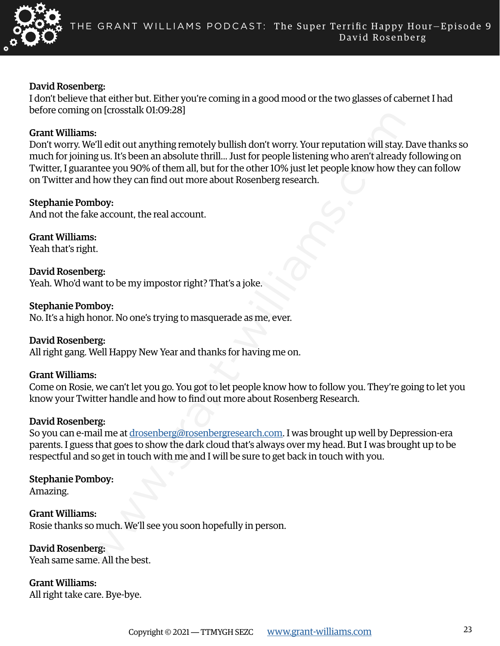

#### David Rosenberg:

I don't believe that either but. Either you're coming in a good mood or the two glasses of cabernet I had before coming on [crosstalk 01:09:28]

#### Grant Williams:

s:<br>
S:<br>
S: Calcitout anything remotely bullish don't worry. Your reputation will stay.<br>
I'ell edit out anything remotely bullish don't worry. Your reputation will stay.<br>
I'ell edit out anything remotely bullish don't worry Don't worry. We'll edit out anything remotely bullish don't worry. Your reputation will stay. Dave thanks so much for joining us. It's been an absolute thrill... Just for people listening who aren't already following on Twitter, I guarantee you 90% of them all, but for the other 10% just let people know how they can follow on Twitter and how they can find out more about Rosenberg research.

#### Stephanie Pomboy:

And not the fake account, the real account.

Grant Williams: Yeah that's right.

David Rosenberg: Yeah. Who'd want to be my impostor right? That's a joke.

Stephanie Pomboy: No. It's a high honor. No one's trying to masquerade as me, ever.

David Rosenberg: All right gang. Well Happy New Year and thanks for having me on.

# Grant Williams:

Come on Rosie, we can't let you go. You got to let people know how to follow you. They're going to let you know your Twitter handle and how to find out more about Rosenberg Research.

#### David Rosenberg:

So you can e-mail me at drosenberg@rosenbergresearch.com. I was brought up well by Depression-era parents. I guess that goes to show the dark cloud that's always over my head. But I was brought up to be respectful and so get in touch with me and I will be sure to get back in touch with you.

#### Stephanie Pomboy:

Amazing.

Grant Williams: Rosie thanks so much. We'll see you soon hopefully in person.

David Rosenberg: Yeah same same. All the best.

Grant Williams: All right take care. Bye-bye.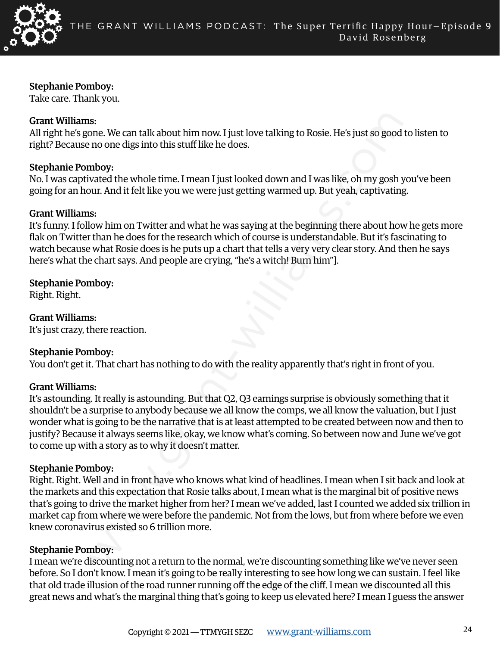

### Stephanie Pomboy:

Take care. Thank you.

# Grant Williams:

All right he's gone. We can talk about him now. I just love talking to Rosie. He's just so good to listen to right? Because no one digs into this stuff like he does.

# Stephanie Pomboy:

No. I was captivated the whole time. I mean I just looked down and I was like, oh my gosh you've been going for an hour. And it felt like you we were just getting warmed up. But yeah, captivating.

#### Grant Williams:

It's funny. I follow him on Twitter and what he was saying at the beginning there about how he gets more flak on Twitter than he does for the research which of course is understandable. But it's fascinating to watch because what Rosie does is he puts up a chart that tells a very very clear story. And then he says here's what the chart says. And people are crying, "he's a witch! Burn him"].

# Stephanie Pomboy:

Right. Right.

Grant Williams: It's just crazy, there reaction.

# Stephanie Pomboy:

You don't get it. That chart has nothing to do with the reality apparently that's right in front of you.

#### Grant Williams:

ns.<br>
18.<br>
18.<br>
2000: One come digs into this stuff like he does.<br>
2000: The one digs into this stuff like he does.<br>
2000: The one digs into this stuff like he does.<br>
2000: Wated the whole time. I mean I just looked down an It's astounding. It really is astounding. But that Q2, Q3 earnings surprise is obviously something that it shouldn't be a surprise to anybody because we all know the comps, we all know the valuation, but I just wonder what is going to be the narrative that is at least attempted to be created between now and then to justify? Because it always seems like, okay, we know what's coming. So between now and June we've got to come up with a story as to why it doesn't matter.

#### Stephanie Pomboy:

Right. Right. Well and in front have who knows what kind of headlines. I mean when I sit back and look at the markets and this expectation that Rosie talks about, I mean what is the marginal bit of positive news that's going to drive the market higher from her? I mean we've added, last I counted we added six trillion in market cap from where we were before the pandemic. Not from the lows, but from where before we even knew coronavirus existed so 6 trillion more.

# Stephanie Pomboy:

I mean we're discounting not a return to the normal, we're discounting something like we've never seen before. So I don't know. I mean it's going to be really interesting to see how long we can sustain. I feel like that old trade illusion of the road runner running off the edge of the cliff. I mean we discounted all this great news and what's the marginal thing that's going to keep us elevated here? I mean I guess the answer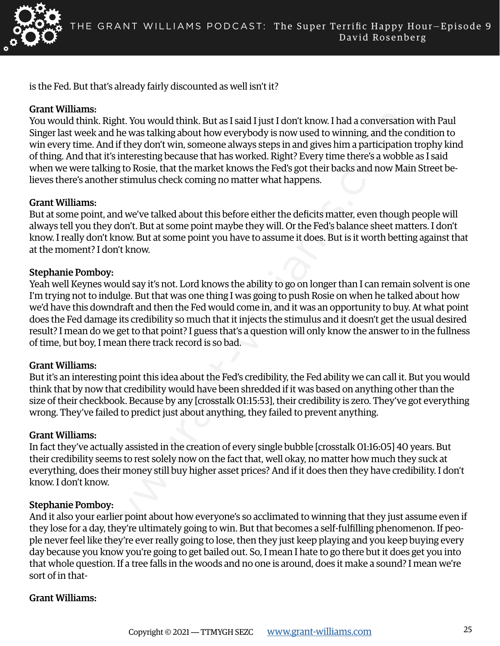

is the Fed. But that's already fairly discounted as well isn't it?

#### Grant Williams:

You would think. Right. You would think. But as I said I just I don't know. I had a conversation with Paul Singer last week and he was talking about how everybody is now used to winning, and the condition to win every time. And if they don't win, someone always steps in and gives him a participation trophy kind of thing. And that it's interesting because that has worked. Right? Every time there's a wobble as I said when we were talking to Rosie, that the market knows the Fed's got their backs and now Main Street believes there's another stimulus check coming no matter what happens.

#### Grant Williams:

But at some point, and we've talked about this before either the deficits matter, even though people will always tell you they don't. But at some point maybe they will. Or the Fed's balance sheet matters. I don't know. I really don't know. But at some point you have to assume it does. But is it worth betting against that at the moment? I don't know.

#### Stephanie Pomboy:

solution to the was taking about homest said I just I don't know. I had a conversation and the was taking about how everybody is now used to wiming, and the change and the was taking about how every body is now used to wim Yeah well Keynes would say it's not. Lord knows the ability to go on longer than I can remain solvent is one I'm trying not to indulge. But that was one thing I was going to push Rosie on when he talked about how we'd have this downdraft and then the Fed would come in, and it was an opportunity to buy. At what point does the Fed damage its credibility so much that it injects the stimulus and it doesn't get the usual desired result? I mean do we get to that point? I guess that's a question will only know the answer to in the fullness of time, but boy, I mean there track record is so bad.

#### Grant Williams:

But it's an interesting point this idea about the Fed's credibility, the Fed ability we can call it. But you would think that by now that credibility would have been shredded if it was based on anything other than the size of their checkbook. Because by any [crosstalk 01:15:53], their credibility is zero. They've got everything wrong. They've failed to predict just about anything, they failed to prevent anything.

#### Grant Williams:

In fact they've actually assisted in the creation of every single bubble [crosstalk 01:16:05] 40 years. But their credibility seems to rest solely now on the fact that, well okay, no matter how much they suck at everything, does their money still buy higher asset prices? And if it does then they have credibility. I don't know. I don't know.

#### Stephanie Pomboy:

And it also your earlier point about how everyone's so acclimated to winning that they just assume even if they lose for a day, they're ultimately going to win. But that becomes a self-fulfilling phenomenon. If people never feel like they're ever really going to lose, then they just keep playing and you keep buying every day because you know you're going to get bailed out. So, I mean I hate to go there but it does get you into that whole question. If a tree falls in the woods and no one is around, does it make a sound? I mean we're sort of in that-

# Grant Williams: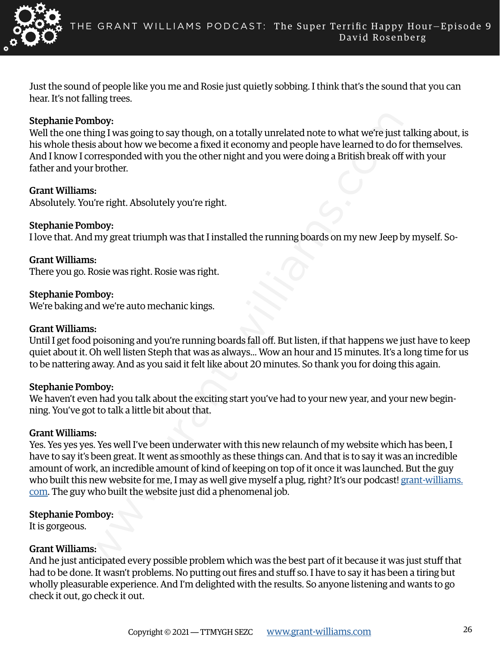

Just the sound of people like you me and Rosie just quietly sobbing. I think that's the sound that you can hear. It's not falling trees.

### Stephanie Pomboy:

Well the one thing I was going to say though, on a totally unrelated note to what we're just talking about, is his whole thesis about how we become a fixed it economy and people have learned to do for themselves. And I know I corresponded with you the other night and you were doing a British break off with your father and your brother.

#### Grant Williams:

Absolutely. You're right. Absolutely you're right.

#### Stephanie Pomboy:

I love that. And my great triumph was that I installed the running boards on my new Jeep by myself. So-

Grant Williams: There you go. Rosie was right. Rosie was right.

#### Stephanie Pomboy:

We're baking and we're auto mechanic kings.

#### Grant Williams:

Until I get food poisoning and you're running boards fall off. But listen, if that happens we just have to keep quiet about it. Oh well listen Steph that was as always... Wow an hour and 15 minutes. It's a long time for us to be nattering away. And as you said it felt like about 20 minutes. So thank you for doing this again.

#### Stephanie Pomboy:

We haven't even had you talk about the exciting start you've had to your new year, and your new beginning. You've got to talk a little bit about that.

#### Grant Williams:

mboy:<br>
ining I was going to say though, on a totally unrelated note to what we're just<br>
is about how we become a fixed it economy and people have learned to do fo<br>
orresponded with you the other night and you were doing a Yes. Yes yes yes. Yes well I've been underwater with this new relaunch of my website which has been, I have to say it's been great. It went as smoothly as these things can. And that is to say it was an incredible amount of work, an incredible amount of kind of keeping on top of it once it was launched. But the guy who built this new website for me, I may as well give myself a plug, right? It's our podcast! [grant-williams.](mailto:https://www.grant-williams.com?subject=) [com](mailto:https://www.grant-williams.com?subject=). The guy who built the website just did a phenomenal job.

#### Stephanie Pomboy:

It is gorgeous.

#### Grant Williams:

And he just anticipated every possible problem which was the best part of it because it was just stuff that had to be done. It wasn't problems. No putting out fires and stuff so. I have to say it has been a tiring but wholly pleasurable experience. And I'm delighted with the results. So anyone listening and wants to go check it out, go check it out.